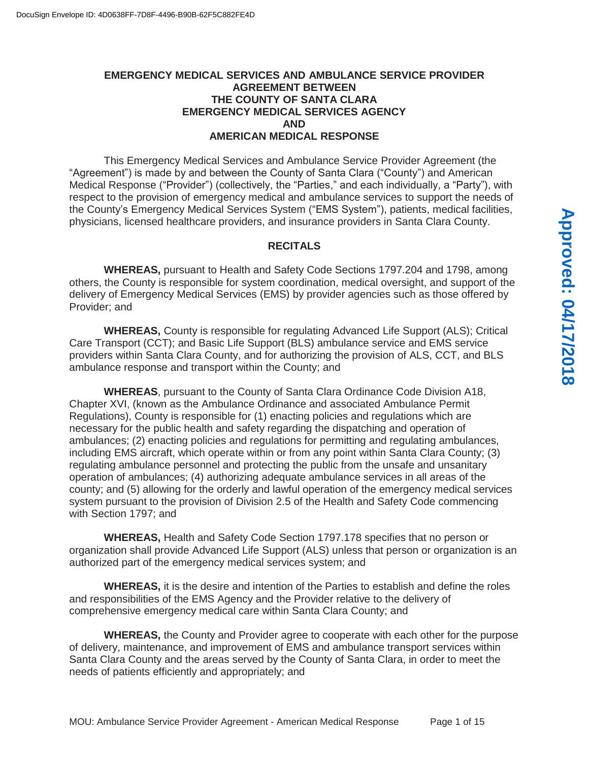# **EMERGENCY MEDICAL SERVICES AND AMBULANCE SERVICE PROVIDER AGREEMENT BETWEEN THE COUNTY OF SANTA CLARA EMERGENCY MEDICAL SERVICES AGENCY AND AMERICAN MEDICAL RESPONSE**

This Emergency Medical Services and Ambulance Service Provider Agreement (the "Agreement") is made by and between the County of Santa Clara ("County") and American Medical Response ("Provider") (collectively, the "Parties," and each individually, a "Party"), with respect to the provision of emergency medical and ambulance services to support the needs of the County's Emergency Medical Services System ("EMS System"), patients, medical facilities, physicians, licensed healthcare providers, and insurance providers in Santa Clara County.

### **RECITALS**

 **WHEREAS,** pursuant to Health and Safety Code Sections 1797.204 and 1798, among others, the County is responsible for system coordination, medical oversight, and support of the delivery of Emergency Medical Services (EMS) by provider agencies such as those offered by Provider; and

**WHEREAS,** County is responsible for regulating Advanced Life Support (ALS); Critical Care Transport (CCT); and Basic Life Support (BLS) ambulance service and EMS service providers within Santa Clara County, and for authorizing the provision of ALS, CCT, and BLS ambulance response and transport within the County; and

**WHEREAS**, pursuant to the County of Santa Clara Ordinance Code Division A18, Chapter XVI, (known as the Ambulance Ordinance and associated Ambulance Permit Regulations), County is responsible for (1) enacting policies and regulations which are necessary for the public health and safety regarding the dispatching and operation of ambulances; (2) enacting policies and regulations for permitting and regulating ambulances, including EMS aircraft, which operate within or from any point within Santa Clara County; (3) regulating ambulance personnel and protecting the public from the unsafe and unsanitary operation of ambulances; (4) authorizing adequate ambulance services in all areas of the county; and (5) allowing for the orderly and lawful operation of the emergency medical services system pursuant to the provision of Division 2.5 of the Health and Safety Code commencing with Section 1797; and

 **WHEREAS,** Health and Safety Code Section 1797.178 specifies that no person or organization shall provide Advanced Life Support (ALS) unless that person or organization is an authorized part of the emergency medical services system; and

 **WHEREAS,** it is the desire and intention of the Parties to establish and define the roles and responsibilities of the EMS Agency and the Provider relative to the delivery of comprehensive emergency medical care within Santa Clara County; and

 **WHEREAS,** the County and Provider agree to cooperate with each other for the purpose of delivery, maintenance, and improvement of EMS and ambulance transport services within Santa Clara County and the areas served by the County of Santa Clara, in order to meet the needs of patients efficiently and appropriately; and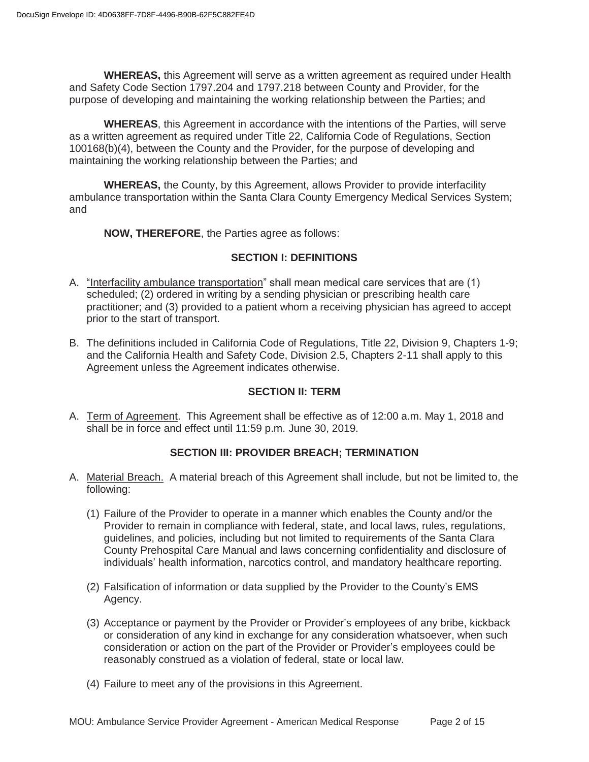**WHEREAS,** this Agreement will serve as a written agreement as required under Health and Safety Code Section 1797.204 and 1797.218 between County and Provider, for the purpose of developing and maintaining the working relationship between the Parties; and

**WHEREAS**, this Agreement in accordance with the intentions of the Parties, will serve as a written agreement as required under Title 22, California Code of Regulations, Section 100168(b)(4), between the County and the Provider, for the purpose of developing and maintaining the working relationship between the Parties; and

 **WHEREAS,** the County, by this Agreement, allows Provider to provide interfacility ambulance transportation within the Santa Clara County Emergency Medical Services System; and

**NOW, THEREFORE**, the Parties agree as follows:

# **SECTION I: DEFINITIONS**

- A. "Interfacility ambulance transportation" shall mean medical care services that are (1) scheduled; (2) ordered in writing by a sending physician or prescribing health care practitioner; and (3) provided to a patient whom a receiving physician has agreed to accept prior to the start of transport.
- B. The definitions included in California Code of Regulations, Title 22, Division 9, Chapters 1-9; and the California Health and Safety Code, Division 2.5, Chapters 2-11 shall apply to this Agreement unless the Agreement indicates otherwise.

# **SECTION II: TERM**

A. Term of Agreement. This Agreement shall be effective as of 12:00 a.m. May 1, 2018 and shall be in force and effect until 11:59 p.m. June 30, 2019.

# **SECTION III: PROVIDER BREACH; TERMINATION**

- A. Material Breach. A material breach of this Agreement shall include, but not be limited to, the following:
	- (1) Failure of the Provider to operate in a manner which enables the County and/or the Provider to remain in compliance with federal, state, and local laws, rules, regulations, guidelines, and policies, including but not limited to requirements of the Santa Clara County Prehospital Care Manual and laws concerning confidentiality and disclosure of individuals' health information, narcotics control, and mandatory healthcare reporting.
	- (2) Falsification of information or data supplied by the Provider to the County's EMS Agency.
	- (3) Acceptance or payment by the Provider or Provider's employees of any bribe, kickback or consideration of any kind in exchange for any consideration whatsoever, when such consideration or action on the part of the Provider or Provider's employees could be reasonably construed as a violation of federal, state or local law.
	- (4) Failure to meet any of the provisions in this Agreement.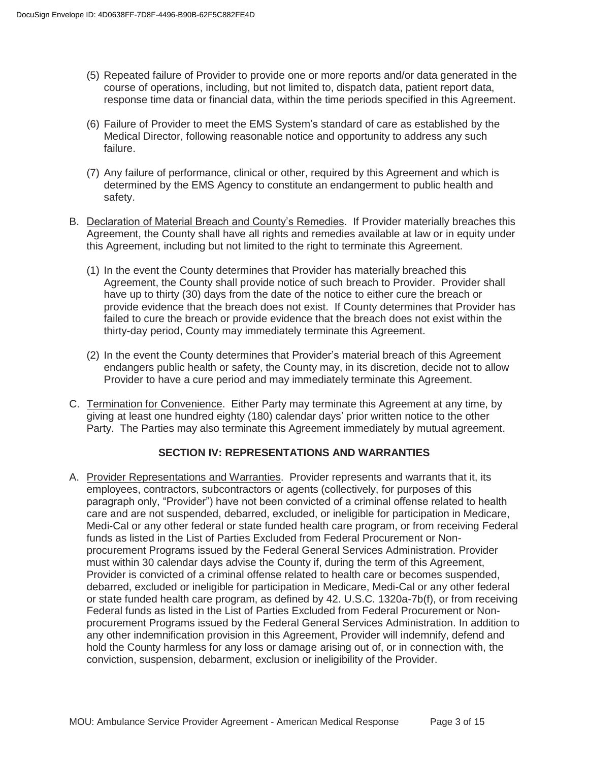- (5) Repeated failure of Provider to provide one or more reports and/or data generated in the course of operations, including, but not limited to, dispatch data, patient report data, response time data or financial data, within the time periods specified in this Agreement.
- (6) Failure of Provider to meet the EMS System's standard of care as established by the Medical Director, following reasonable notice and opportunity to address any such failure.
- (7) Any failure of performance, clinical or other, required by this Agreement and which is determined by the EMS Agency to constitute an endangerment to public health and safety.
- B. Declaration of Material Breach and County's Remedies. If Provider materially breaches this Agreement, the County shall have all rights and remedies available at law or in equity under this Agreement, including but not limited to the right to terminate this Agreement.
	- (1) In the event the County determines that Provider has materially breached this Agreement, the County shall provide notice of such breach to Provider. Provider shall have up to thirty (30) days from the date of the notice to either cure the breach or provide evidence that the breach does not exist. If County determines that Provider has failed to cure the breach or provide evidence that the breach does not exist within the thirty-day period, County may immediately terminate this Agreement.
	- (2) In the event the County determines that Provider's material breach of this Agreement endangers public health or safety, the County may, in its discretion, decide not to allow Provider to have a cure period and may immediately terminate this Agreement.
- C. Termination for Convenience. Either Party may terminate this Agreement at any time, by giving at least one hundred eighty (180) calendar days' prior written notice to the other Party. The Parties may also terminate this Agreement immediately by mutual agreement.

# **SECTION IV: REPRESENTATIONS AND WARRANTIES**

A. Provider Representations and Warranties. Provider represents and warrants that it, its employees, contractors, subcontractors or agents (collectively, for purposes of this paragraph only, "Provider") have not been convicted of a criminal offense related to health care and are not suspended, debarred, excluded, or ineligible for participation in Medicare, Medi-Cal or any other federal or state funded health care program, or from receiving Federal funds as listed in the List of Parties Excluded from Federal Procurement or Nonprocurement Programs issued by the Federal General Services Administration. Provider must within 30 calendar days advise the County if, during the term of this Agreement, Provider is convicted of a criminal offense related to health care or becomes suspended, debarred, excluded or ineligible for participation in Medicare, Medi-Cal or any other federal or state funded health care program, as defined by 42. U.S.C. 1320a-7b(f), or from receiving Federal funds as listed in the List of Parties Excluded from Federal Procurement or Nonprocurement Programs issued by the Federal General Services Administration. In addition to any other indemnification provision in this Agreement, Provider will indemnify, defend and hold the County harmless for any loss or damage arising out of, or in connection with, the conviction, suspension, debarment, exclusion or ineligibility of the Provider.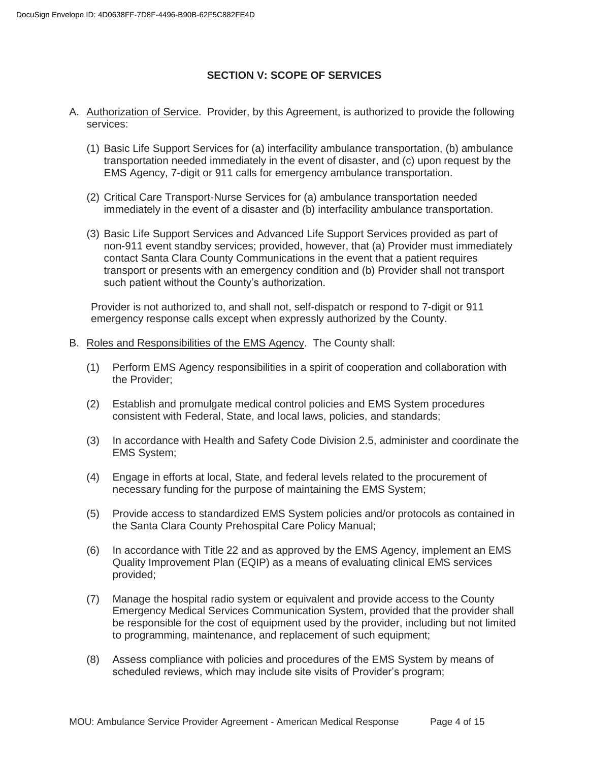# **SECTION V: SCOPE OF SERVICES**

- A. Authorization of Service. Provider, by this Agreement, is authorized to provide the following services:
	- (1) Basic Life Support Services for (a) interfacility ambulance transportation, (b) ambulance transportation needed immediately in the event of disaster, and (c) upon request by the EMS Agency, 7-digit or 911 calls for emergency ambulance transportation.
	- (2) Critical Care Transport-Nurse Services for (a) ambulance transportation needed immediately in the event of a disaster and (b) interfacility ambulance transportation.
	- (3) Basic Life Support Services and Advanced Life Support Services provided as part of non-911 event standby services; provided, however, that (a) Provider must immediately contact Santa Clara County Communications in the event that a patient requires transport or presents with an emergency condition and (b) Provider shall not transport such patient without the County's authorization.

Provider is not authorized to, and shall not, self-dispatch or respond to 7-digit or 911 emergency response calls except when expressly authorized by the County.

- B. Roles and Responsibilities of the EMS Agency. The County shall:
	- (1) Perform EMS Agency responsibilities in a spirit of cooperation and collaboration with the Provider;
	- (2) Establish and promulgate medical control policies and EMS System procedures consistent with Federal, State, and local laws, policies, and standards;
	- (3) In accordance with Health and Safety Code Division 2.5, administer and coordinate the EMS System;
	- (4) Engage in efforts at local, State, and federal levels related to the procurement of necessary funding for the purpose of maintaining the EMS System;
	- (5) Provide access to standardized EMS System policies and/or protocols as contained in the Santa Clara County Prehospital Care Policy Manual;
	- (6) In accordance with Title 22 and as approved by the EMS Agency, implement an EMS Quality Improvement Plan (EQIP) as a means of evaluating clinical EMS services provided;
	- (7) Manage the hospital radio system or equivalent and provide access to the County Emergency Medical Services Communication System, provided that the provider shall be responsible for the cost of equipment used by the provider, including but not limited to programming, maintenance, and replacement of such equipment;
	- (8) Assess compliance with policies and procedures of the EMS System by means of scheduled reviews, which may include site visits of Provider's program;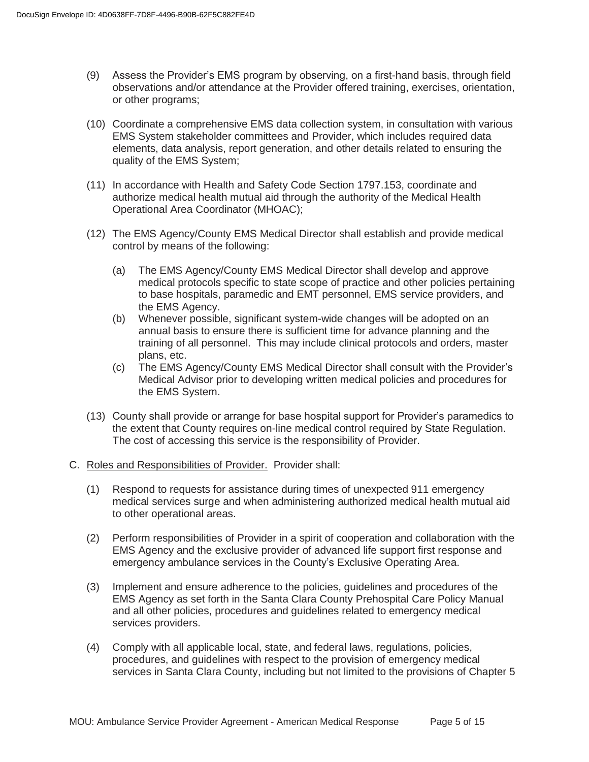- (9) Assess the Provider's EMS program by observing, on a first-hand basis, through field observations and/or attendance at the Provider offered training, exercises, orientation, or other programs;
- (10) Coordinate a comprehensive EMS data collection system, in consultation with various EMS System stakeholder committees and Provider, which includes required data elements, data analysis, report generation, and other details related to ensuring the quality of the EMS System;
- (11) In accordance with Health and Safety Code Section 1797.153, coordinate and authorize medical health mutual aid through the authority of the Medical Health Operational Area Coordinator (MHOAC);
- (12) The EMS Agency/County EMS Medical Director shall establish and provide medical control by means of the following:
	- (a) The EMS Agency/County EMS Medical Director shall develop and approve medical protocols specific to state scope of practice and other policies pertaining to base hospitals, paramedic and EMT personnel, EMS service providers, and the EMS Agency.
	- (b) Whenever possible, significant system-wide changes will be adopted on an annual basis to ensure there is sufficient time for advance planning and the training of all personnel. This may include clinical protocols and orders, master plans, etc.
	- (c) The EMS Agency/County EMS Medical Director shall consult with the Provider's Medical Advisor prior to developing written medical policies and procedures for the EMS System.
- (13) County shall provide or arrange for base hospital support for Provider's paramedics to the extent that County requires on-line medical control required by State Regulation. The cost of accessing this service is the responsibility of Provider.
- C. Roles and Responsibilities of Provider. Provider shall:
	- (1) Respond to requests for assistance during times of unexpected 911 emergency medical services surge and when administering authorized medical health mutual aid to other operational areas.
	- (2) Perform responsibilities of Provider in a spirit of cooperation and collaboration with the EMS Agency and the exclusive provider of advanced life support first response and emergency ambulance services in the County's Exclusive Operating Area.
	- (3) Implement and ensure adherence to the policies, guidelines and procedures of the EMS Agency as set forth in the Santa Clara County Prehospital Care Policy Manual and all other policies, procedures and guidelines related to emergency medical services providers.
	- (4) Comply with all applicable local, state, and federal laws, regulations, policies, procedures, and guidelines with respect to the provision of emergency medical services in Santa Clara County, including but not limited to the provisions of Chapter 5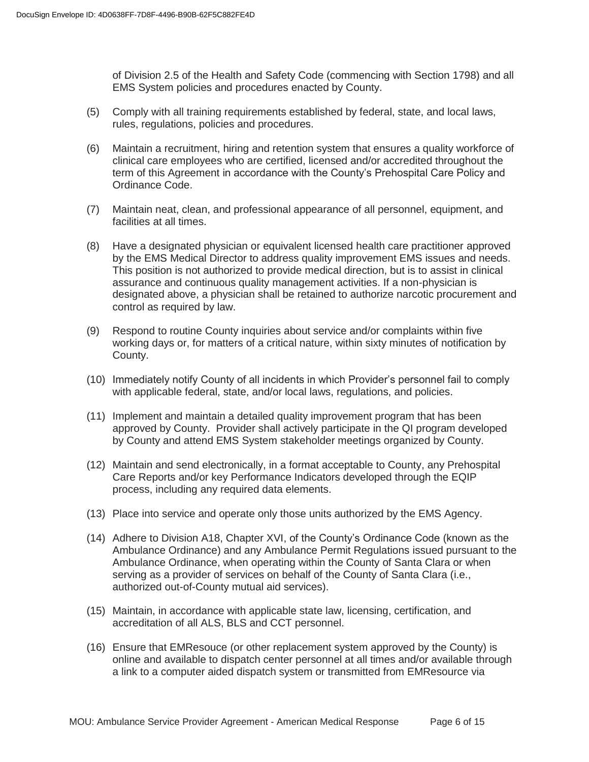of Division 2.5 of the Health and Safety Code (commencing with Section 1798) and all EMS System policies and procedures enacted by County.

- (5) Comply with all training requirements established by federal, state, and local laws, rules, regulations, policies and procedures.
- (6) Maintain a recruitment, hiring and retention system that ensures a quality workforce of clinical care employees who are certified, licensed and/or accredited throughout the term of this Agreement in accordance with the County's Prehospital Care Policy and Ordinance Code.
- (7) Maintain neat, clean, and professional appearance of all personnel, equipment, and facilities at all times.
- (8) Have a designated physician or equivalent licensed health care practitioner approved by the EMS Medical Director to address quality improvement EMS issues and needs. This position is not authorized to provide medical direction, but is to assist in clinical assurance and continuous quality management activities. If a non-physician is designated above, a physician shall be retained to authorize narcotic procurement and control as required by law.
- (9) Respond to routine County inquiries about service and/or complaints within five working days or, for matters of a critical nature, within sixty minutes of notification by County.
- (10) Immediately notify County of all incidents in which Provider's personnel fail to comply with applicable federal, state, and/or local laws, regulations, and policies.
- (11) Implement and maintain a detailed quality improvement program that has been approved by County. Provider shall actively participate in the QI program developed by County and attend EMS System stakeholder meetings organized by County.
- (12) Maintain and send electronically, in a format acceptable to County, any Prehospital Care Reports and/or key Performance Indicators developed through the EQIP process, including any required data elements.
- (13) Place into service and operate only those units authorized by the EMS Agency.
- (14) Adhere to Division A18, Chapter XVI, of the County's Ordinance Code (known as the Ambulance Ordinance) and any Ambulance Permit Regulations issued pursuant to the Ambulance Ordinance, when operating within the County of Santa Clara or when serving as a provider of services on behalf of the County of Santa Clara (i.e., authorized out-of-County mutual aid services).
- (15) Maintain, in accordance with applicable state law, licensing, certification, and accreditation of all ALS, BLS and CCT personnel.
- (16) Ensure that EMResouce (or other replacement system approved by the County) is online and available to dispatch center personnel at all times and/or available through a link to a computer aided dispatch system or transmitted from EMResource via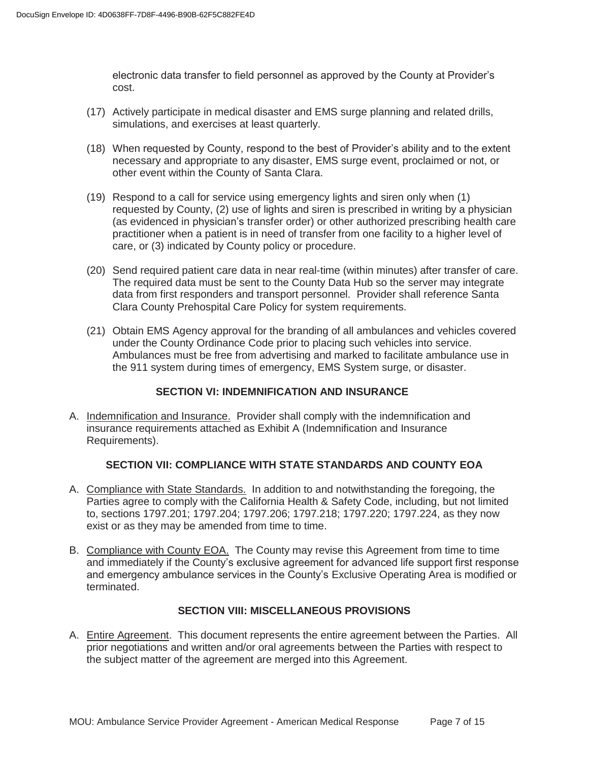electronic data transfer to field personnel as approved by the County at Provider's cost.

- (17) Actively participate in medical disaster and EMS surge planning and related drills, simulations, and exercises at least quarterly.
- (18) When requested by County, respond to the best of Provider's ability and to the extent necessary and appropriate to any disaster, EMS surge event, proclaimed or not, or other event within the County of Santa Clara.
- (19) Respond to a call for service using emergency lights and siren only when (1) requested by County, (2) use of lights and siren is prescribed in writing by a physician (as evidenced in physician's transfer order) or other authorized prescribing health care practitioner when a patient is in need of transfer from one facility to a higher level of care, or (3) indicated by County policy or procedure.
- (20) Send required patient care data in near real-time (within minutes) after transfer of care. The required data must be sent to the County Data Hub so the server may integrate data from first responders and transport personnel. Provider shall reference Santa Clara County Prehospital Care Policy for system requirements.
- (21) Obtain EMS Agency approval for the branding of all ambulances and vehicles covered under the County Ordinance Code prior to placing such vehicles into service. Ambulances must be free from advertising and marked to facilitate ambulance use in the 911 system during times of emergency, EMS System surge, or disaster.

# **SECTION VI: INDEMNIFICATION AND INSURANCE**

A. Indemnification and Insurance. Provider shall comply with the indemnification and insurance requirements attached as Exhibit A (Indemnification and Insurance Requirements).

# **SECTION VII: COMPLIANCE WITH STATE STANDARDS AND COUNTY EOA**

- A. Compliance with State Standards. In addition to and notwithstanding the foregoing, the Parties agree to comply with the California Health & Safety Code, including, but not limited to, sections 1797.201; 1797.204; 1797.206; 1797.218; 1797.220; 1797.224, as they now exist or as they may be amended from time to time.
- B. Compliance with County EOA. The County may revise this Agreement from time to time and immediately if the County's exclusive agreement for advanced life support first response and emergency ambulance services in the County's Exclusive Operating Area is modified or terminated.

# **SECTION VIII: MISCELLANEOUS PROVISIONS**

A. Entire Agreement. This document represents the entire agreement between the Parties. All prior negotiations and written and/or oral agreements between the Parties with respect to the subject matter of the agreement are merged into this Agreement.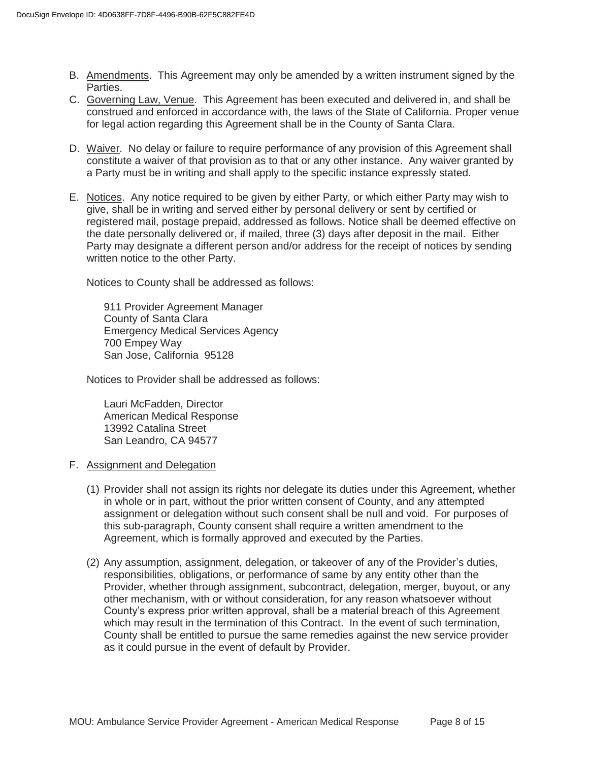- B. Amendments. This Agreement may only be amended by a written instrument signed by the Parties.
- C. Governing Law, Venue. This Agreement has been executed and delivered in, and shall be construed and enforced in accordance with, the laws of the State of California. Proper venue for legal action regarding this Agreement shall be in the County of Santa Clara.
- D. Waiver. No delay or failure to require performance of any provision of this Agreement shall constitute a waiver of that provision as to that or any other instance. Any waiver granted by a Party must be in writing and shall apply to the specific instance expressly stated.
- E. Notices. Any notice required to be given by either Party, or which either Party may wish to give, shall be in writing and served either by personal delivery or sent by certified or registered mail, postage prepaid, addressed as follows. Notice shall be deemed effective on the date personally delivered or, if mailed, three (3) days after deposit in the mail. Either Party may designate a different person and/or address for the receipt of notices by sending written notice to the other Party.

Notices to County shall be addressed as follows:

 911 Provider Agreement Manager County of Santa Clara Emergency Medical Services Agency 700 Empey Way San Jose, California 95128

Notices to Provider shall be addressed as follows:

 Lauri McFadden, Director American Medical Response 13992 Catalina Street San Leandro, CA 94577

- F. Assignment and Delegation
	- (1) Provider shall not assign its rights nor delegate its duties under this Agreement, whether in whole or in part, without the prior written consent of County, and any attempted assignment or delegation without such consent shall be null and void. For purposes of this sub-paragraph, County consent shall require a written amendment to the Agreement, which is formally approved and executed by the Parties.
	- (2) Any assumption, assignment, delegation, or takeover of any of the Provider's duties, responsibilities, obligations, or performance of same by any entity other than the Provider, whether through assignment, subcontract, delegation, merger, buyout, or any other mechanism, with or without consideration, for any reason whatsoever without County's express prior written approval, shall be a material breach of this Agreement which may result in the termination of this Contract. In the event of such termination, County shall be entitled to pursue the same remedies against the new service provider as it could pursue in the event of default by Provider.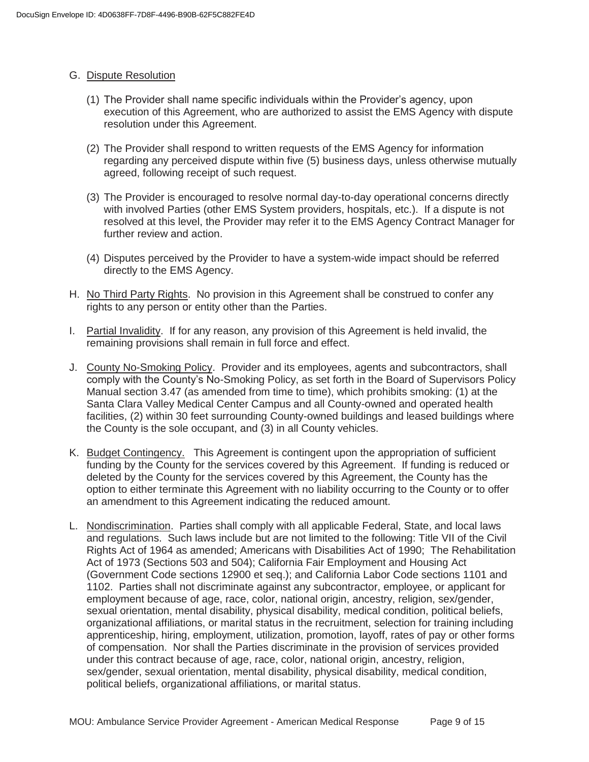### G. Dispute Resolution

- (1) The Provider shall name specific individuals within the Provider's agency, upon execution of this Agreement, who are authorized to assist the EMS Agency with dispute resolution under this Agreement.
- (2) The Provider shall respond to written requests of the EMS Agency for information regarding any perceived dispute within five (5) business days, unless otherwise mutually agreed, following receipt of such request.
- (3) The Provider is encouraged to resolve normal day-to-day operational concerns directly with involved Parties (other EMS System providers, hospitals, etc.). If a dispute is not resolved at this level, the Provider may refer it to the EMS Agency Contract Manager for further review and action.
- (4) Disputes perceived by the Provider to have a system-wide impact should be referred directly to the EMS Agency.
- H. No Third Party Rights. No provision in this Agreement shall be construed to confer any rights to any person or entity other than the Parties.
- I. Partial Invalidity. If for any reason, any provision of this Agreement is held invalid, the remaining provisions shall remain in full force and effect.
- J. County No-Smoking Policy. Provider and its employees, agents and subcontractors, shall comply with the County's No-Smoking Policy, as set forth in the Board of Supervisors Policy Manual section 3.47 (as amended from time to time), which prohibits smoking: (1) at the Santa Clara Valley Medical Center Campus and all County-owned and operated health facilities, (2) within 30 feet surrounding County-owned buildings and leased buildings where the County is the sole occupant, and (3) in all County vehicles.
- K. Budget Contingency. This Agreement is contingent upon the appropriation of sufficient funding by the County for the services covered by this Agreement. If funding is reduced or deleted by the County for the services covered by this Agreement, the County has the option to either terminate this Agreement with no liability occurring to the County or to offer an amendment to this Agreement indicating the reduced amount.
- L. Nondiscrimination. Parties shall comply with all applicable Federal, State, and local laws and regulations. Such laws include but are not limited to the following: Title VII of the Civil Rights Act of 1964 as amended; Americans with Disabilities Act of 1990; The Rehabilitation Act of 1973 (Sections 503 and 504); California Fair Employment and Housing Act (Government Code sections 12900 et seq.); and California Labor Code sections 1101 and 1102. Parties shall not discriminate against any subcontractor, employee, or applicant for employment because of age, race, color, national origin, ancestry, religion, sex/gender, sexual orientation, mental disability, physical disability, medical condition, political beliefs, organizational affiliations, or marital status in the recruitment, selection for training including apprenticeship, hiring, employment, utilization, promotion, layoff, rates of pay or other forms of compensation. Nor shall the Parties discriminate in the provision of services provided under this contract because of age, race, color, national origin, ancestry, religion, sex/gender, sexual orientation, mental disability, physical disability, medical condition, political beliefs, organizational affiliations, or marital status.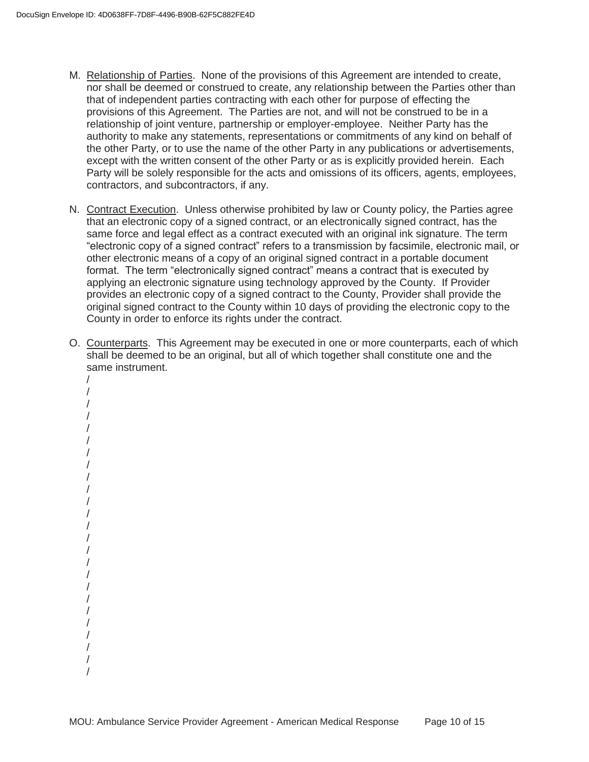- M. Relationship of Parties. None of the provisions of this Agreement are intended to create, nor shall be deemed or construed to create, any relationship between the Parties other than that of independent parties contracting with each other for purpose of effecting the provisions of this Agreement. The Parties are not, and will not be construed to be in a relationship of joint venture, partnership or employer-employee. Neither Party has the authority to make any statements, representations or commitments of any kind on behalf of the other Party, or to use the name of the other Party in any publications or advertisements, except with the written consent of the other Party or as is explicitly provided herein. Each Party will be solely responsible for the acts and omissions of its officers, agents, employees, contractors, and subcontractors, if any.
- N. Contract Execution. Unless otherwise prohibited by law or County policy, the Parties agree that an electronic copy of a signed contract, or an electronically signed contract, has the same force and legal effect as a contract executed with an original ink signature. The term "electronic copy of a signed contract" refers to a transmission by facsimile, electronic mail, or other electronic means of a copy of an original signed contract in a portable document format. The term "electronically signed contract" means a contract that is executed by applying an electronic signature using technology approved by the County. If Provider provides an electronic copy of a signed contract to the County, Provider shall provide the original signed contract to the County within 10 days of providing the electronic copy to the County in order to enforce its rights under the contract.
- O. Counterparts. This Agreement may be executed in one or more counterparts, each of which shall be deemed to be an original, but all of which together shall constitute one and the same instrument.
	- / / / / / / / / / / / / / / / / / / / / / / / /

/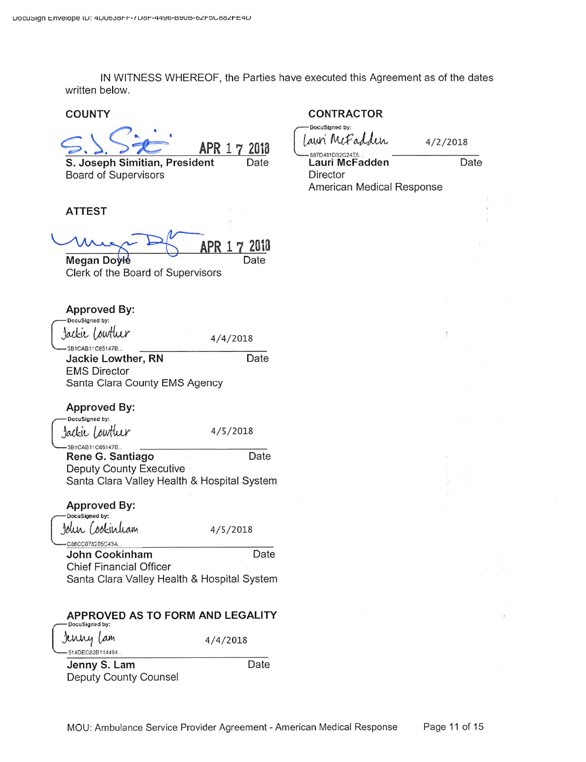IN WITNESS WHEREOF, the Parties have executed this Agreement as of the dates written below.

### **COUNTY**

APR 1 7 2018 Date

S. Joseph Simitian, President **Board of Supervisors** 

#### **ATTEST**

**APR 17** 2018 Date

**Megan Doyle** Clerk of the Board of Supervisors

| <b>Approved By:</b><br>DocuSigned by:                                  |          |
|------------------------------------------------------------------------|----------|
| Jackie Lowther                                                         | 4/4/2018 |
| -3B1CAB11C65147B<br>Jackie Lowther, RN                                 | Date     |
| <b>EMS Director</b><br>Santa Clara County EMS Agency                   |          |
| <b>Approved By:</b>                                                    |          |
| DocuSigned by:<br>Jackie Lowther                                       | 4/5/2018 |
| 3B1CAB11C65147B<br>Rene G. Santiago                                    | Date     |
| Deputy County Executive<br>Santa Clara Valley Health & Hospital System |          |
| <b>Approved By:</b>                                                    |          |
| DocuSigned by:<br>John Cookinham                                       | 4/5/2018 |
| C86CC078205C43A<br>John Cookinham                                      | Date     |
| Chief Financial Officer<br>Santa Clara Valley Health & Hospital System |          |
| APPROVED AS TO FORM AND LEGALITY                                       |          |

# DocuSigned by:

Jenny Lam -514DEC82B114494

 $4/4/2018$ 

Jenny S. Lam Deputy County Counsel

# **CONTRACTOR**

DocuSigned by: awi McFadden

 $4/2/2018$ 

Date

887D481D32C24E5 Lauri McFadden Director American Medical Response

Date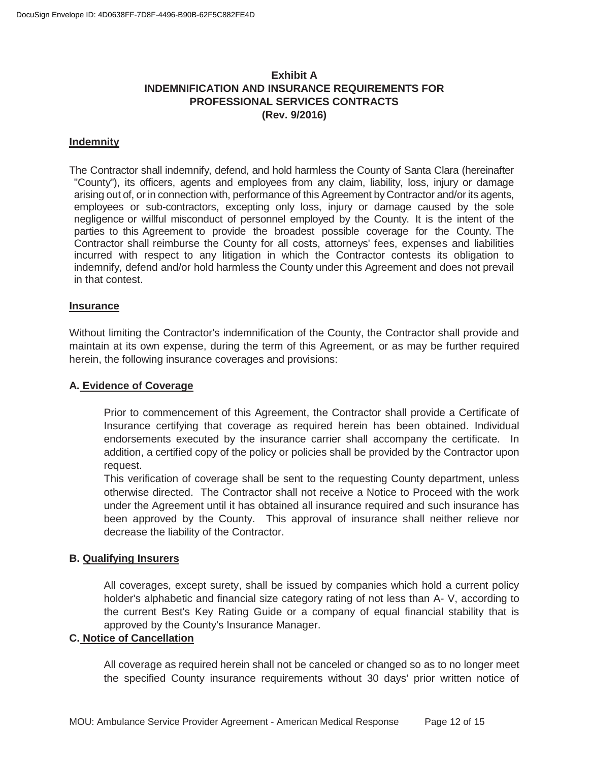# **Exhibit A INDEMNIFICATION AND INSURANCE REQUIREMENTS FOR PROFESSIONAL SERVICES CONTRACTS (Rev. 9/2016)**

### **Indemnity**

The Contractor shall indemnify, defend, and hold harmless the County of Santa Clara (hereinafter "County"), its officers, agents and employees from any claim, liability, loss, injury or damage arising out of, or in connection with, performance of this Agreement by Contractor and/or its agents, employees or sub-contractors, excepting only loss, injury or damage caused by the sole negligence or willful misconduct of personnel employed by the County. It is the intent of the parties to this Agreement to provide the broadest possible coverage for the County. The Contractor shall reimburse the County for all costs, attorneys' fees, expenses and liabilities incurred with respect to any litigation in which the Contractor contests its obligation to indemnify, defend and/or hold harmless the County under this Agreement and does not prevail in that contest.

#### **Insurance**

Without limiting the Contractor's indemnification of the County, the Contractor shall provide and maintain at its own expense, during the term of this Agreement, or as may be further required herein, the following insurance coverages and provisions:

### **A. Evidence of Coverage**

Prior to commencement of this Agreement, the Contractor shall provide a Certificate of Insurance certifying that coverage as required herein has been obtained. Individual endorsements executed by the insurance carrier shall accompany the certificate. In addition, a certified copy of the policy or policies shall be provided by the Contractor upon request.

This verification of coverage shall be sent to the requesting County department, unless otherwise directed. The Contractor shall not receive a Notice to Proceed with the work under the Agreement until it has obtained all insurance required and such insurance has been approved by the County. This approval of insurance shall neither relieve nor decrease the liability of the Contractor.

### **B. Qualifying Insurers**

All coverages, except surety, shall be issued by companies which hold a current policy holder's alphabetic and financial size category rating of not less than A- V, according to the current Best's Key Rating Guide or a company of equal financial stability that is approved by the County's Insurance Manager.

# **C. Notice of Cancellation**

 All coverage as required herein shall not be canceled or changed so as to no longer meet the specified County insurance requirements without 30 days' prior written notice of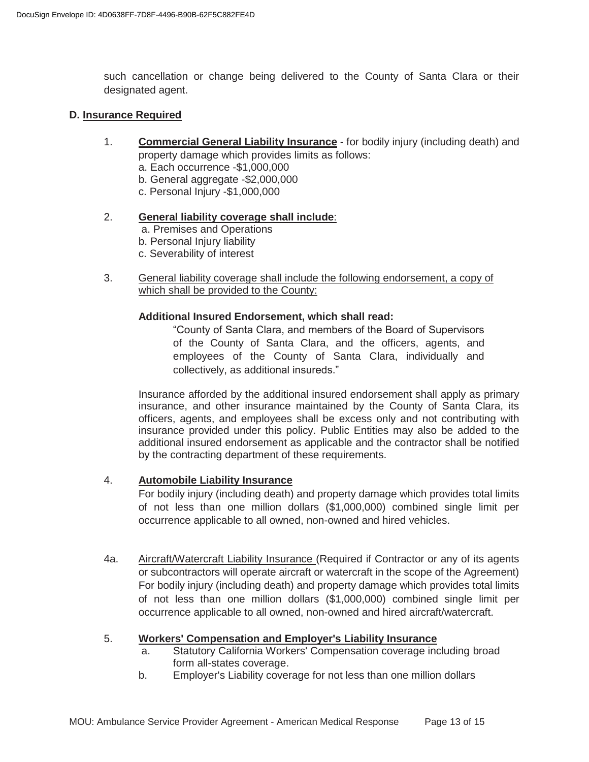such cancellation or change being delivered to the County of Santa Clara or their designated agent.

### **D. Insurance Required**

- 1. **Commercial General Liability Insurance** for bodily injury (including death) and property damage which provides limits as follows:
	- a. Each occurrence -\$1,000,000
	- b. General aggregate -\$2,000,000
	- c. Personal Injury -\$1,000,000

### 2. **General liability coverage shall include**:

- a. Premises and Operations
- b. Personal Injury liability
- c. Severability of interest
- 3. General liability coverage shall include the following endorsement, a copy of which shall be provided to the County:

# **Additional Insured Endorsement, which shall read:**

"County of Santa Clara, and members of the Board of Supervisors of the County of Santa Clara, and the officers, agents, and employees of the County of Santa Clara, individually and collectively, as additional insureds."

Insurance afforded by the additional insured endorsement shall apply as primary insurance, and other insurance maintained by the County of Santa Clara, its officers, agents, and employees shall be excess only and not contributing with insurance provided under this policy. Public Entities may also be added to the additional insured endorsement as applicable and the contractor shall be notified by the contracting department of these requirements.

### 4. **Automobile Liability Insurance**

For bodily injury (including death) and property damage which provides total limits of not less than one million dollars (\$1,000,000) combined single limit per occurrence applicable to all owned, non-owned and hired vehicles.

4a. Aircraft/Watercraft Liability Insurance (Required if Contractor or any of its agents or subcontractors will operate aircraft or watercraft in the scope of the Agreement) For bodily injury (including death) and property damage which provides total limits of not less than one million dollars (\$1,000,000) combined single limit per occurrence applicable to all owned, non-owned and hired aircraft/watercraft.

### 5. **Workers' Compensation and Employer's Liability Insurance**

- a. Statutory California Workers' Compensation coverage including broad form all-states coverage.
- b. Employer's Liability coverage for not less than one million dollars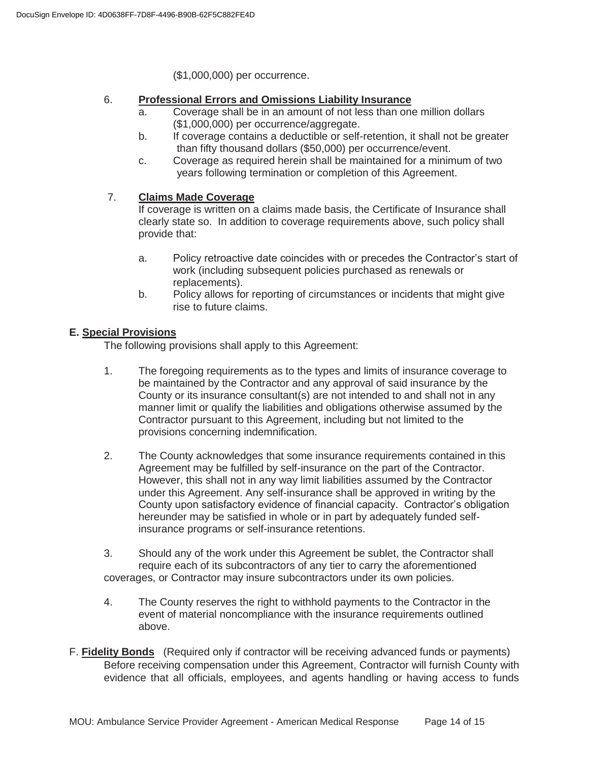(\$1,000,000) per occurrence.

### 6. **Professional Errors and Omissions Liability Insurance**

- a. Coverage shall be in an amount of not less than one million dollars (\$1,000,000) per occurrence/aggregate.
- b. If coverage contains a deductible or self-retention, it shall not be greater than fifty thousand dollars (\$50,000) per occurrence/event.
- c. Coverage as required herein shall be maintained for a minimum of two years following termination or completion of this Agreement.

# 7. **Claims Made Coverage**

If coverage is written on a claims made basis, the Certificate of Insurance shall clearly state so. In addition to coverage requirements above, such policy shall provide that:

- a. Policy retroactive date coincides with or precedes the Contractor's start of work (including subsequent policies purchased as renewals or replacements).
- b. Policy allows for reporting of circumstances or incidents that might give rise to future claims.

### **E. Special Provisions**

The following provisions shall apply to this Agreement:

- 1. The foregoing requirements as to the types and limits of insurance coverage to be maintained by the Contractor and any approval of said insurance by the County or its insurance consultant(s) are not intended to and shall not in any manner limit or qualify the liabilities and obligations otherwise assumed by the Contractor pursuant to this Agreement, including but not limited to the provisions concerning indemnification.
- 2. The County acknowledges that some insurance requirements contained in this Agreement may be fulfilled by self-insurance on the part of the Contractor. However, this shall not in any way limit liabilities assumed by the Contractor under this Agreement. Any self-insurance shall be approved in writing by the County upon satisfactory evidence of financial capacity. Contractor's obligation hereunder may be satisfied in whole or in part by adequately funded self insurance programs or self-insurance retentions.
- 3. Should any of the work under this Agreement be sublet, the Contractor shall require each of its subcontractors of any tier to carry the aforementioned coverages, or Contractor may insure subcontractors under its own policies.
- 4. The County reserves the right to withhold payments to the Contractor in the event of material noncompliance with the insurance requirements outlined above.
- F. **Fidelity Bonds** (Required only if contractor will be receiving advanced funds or payments) Before receiving compensation under this Agreement, Contractor will furnish County with evidence that all officials, employees, and agents handling or having access to funds